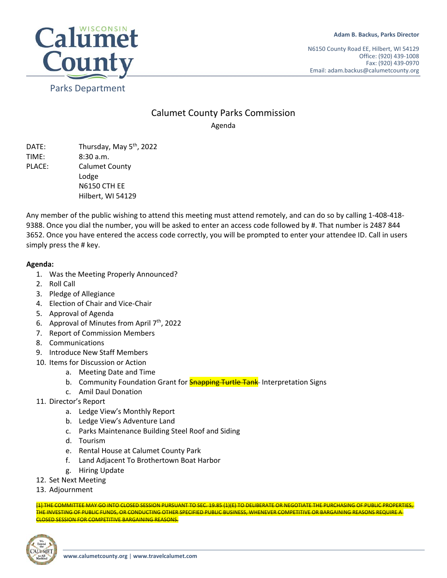Calumet County

Parks Department

N6150 County Road EE, Hilbert, WI 54129 Office: (920) 439-1008 Fax: (920) 439-0970 Email: adam.backus@calumetcounty.org

## Calumet County Parks Commission Agenda

DATE: Thursday, May  $5<sup>th</sup>$ , 2022 TIME: 8:30 a.m. PLACE: Calumet County Lodge N6150 CTH EE Hilbert, WI 54129

Any member of the public wishing to attend this meeting must attend remotely, and can do so by calling 1-408-418- 9388. Once you dial the number, you will be asked to enter an access code followed by #. That number is 2487 844 3652. Once you have entered the access code correctly, you will be prompted to enter your attendee ID. Call in users simply press the # key.

## **Agenda:**

- 1. Was the Meeting Properly Announced?
- 2. Roll Call
- 3. Pledge of Allegiance
- 4. Election of Chair and Vice-Chair
- 5. Approval of Agenda
- 6. Approval of Minutes from April  $7<sup>th</sup>$ , 2022
- 7. Report of Commission Members
- 8. Communications
- 9. Introduce New Staff Members
- 10. Items for Discussion or Action
	- a. Meeting Date and Time
	- b. Community Foundation Grant for **Snapping Turtle Tank** Interpretation Signs
	- c. Amil Daul Donation
- 11. Director's Report
	- a. Ledge View's Monthly Report
	- b. Ledge View's Adventure Land
	- c. Parks Maintenance Building Steel Roof and Siding
	- d. Tourism
	- e. Rental House at Calumet County Park
	- f. Land Adjacent To Brothertown Boat Harbor
	- g. Hiring Update
- 12. Set Next Meeting
- 13. Adjournment

[1] THE COMMITTEE MAY GO INTO CLOSED SESSION PURSUANT TO SEC. 19.85 (1)(E) TO DELIBERATE OR NEGOTIATE THE PURCHASING OF PUBLIC PROPERTIES, THE INVESTING OF PUBLIC FUNDS, OR CONDUCTING OTHER SPECIFIED PUBLIC BUSINESS, WHENEVER COMPETITIVE OR BARGAINING REASONS REQUIRE A OSED SESSION FOR COMPETITIVE BARGAINING REASONS.